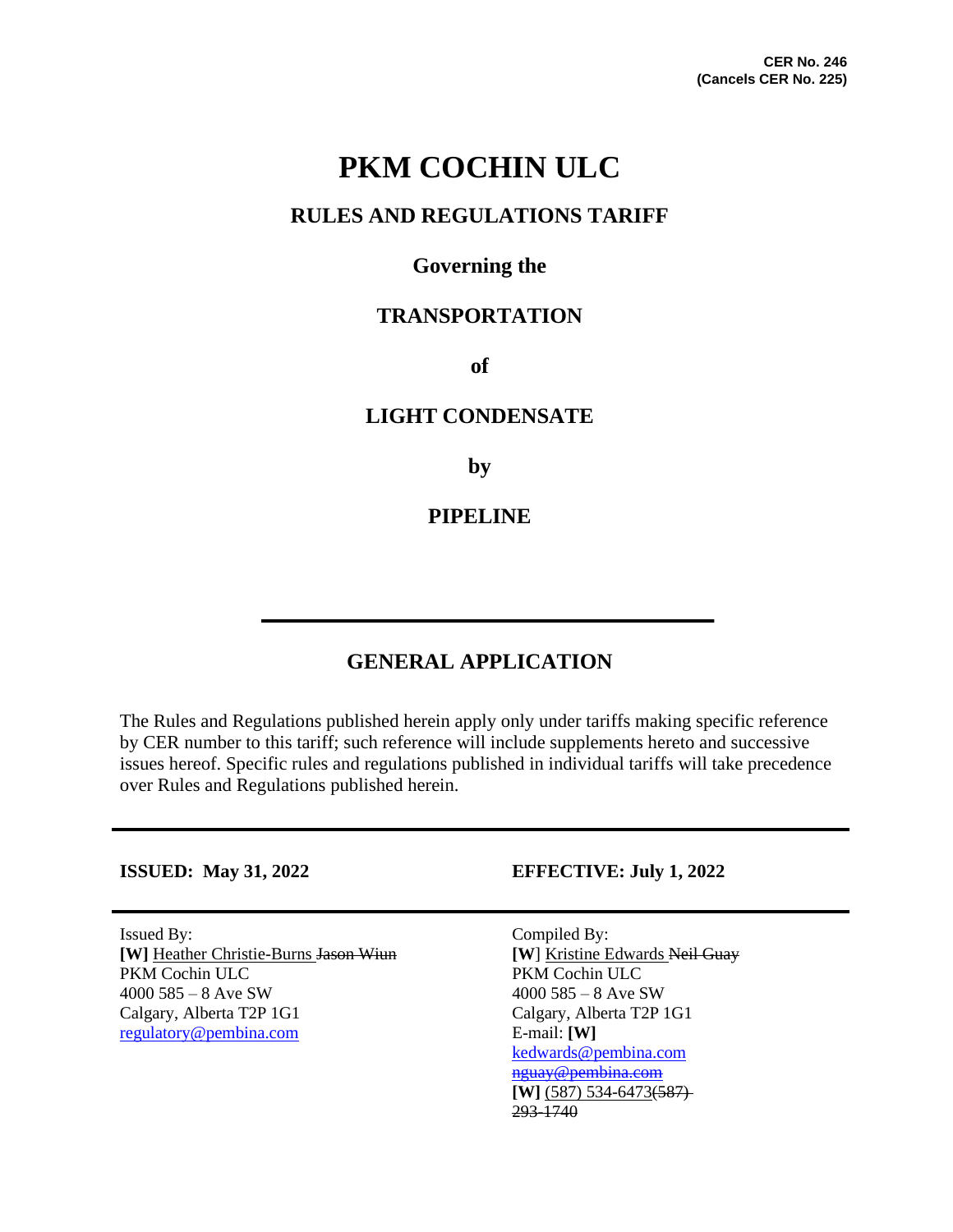# **PKM COCHIN ULC**

## **RULES AND REGULATIONS TARIFF**

## **Governing the**

## **TRANSPORTATION**

**of**

### **LIGHT CONDENSATE**

**by**

## **PIPELINE**

## **GENERAL APPLICATION**

The Rules and Regulations published herein apply only under tariffs making specific reference by CER number to this tariff; such reference will include supplements hereto and successive issues hereof. Specific rules and regulations published in individual tariffs will take precedence over Rules and Regulations published herein.

Issued By: Compiled By: **[W]** Heather Christie-Burns Jason Wiun **[W**] Kristine Edwards Neil Guay PKM Cochin ULC<br>
4000 585 - 8 Ave SW<br>
4000 585 - 8 Ave SW<br>
4000 585 - 8 Ave SW Calgary, Alberta T2P 1G1 Calgary, Alberta T2P 1G1 [regulatory@pembina.com](mailto:regulatory@pembina.com) E-mail: **[W]**

#### **ISSUED: May 31, 2022 EFFECTIVE: July 1, 2022**

 $4000585 - 8$  Ave SW [kedwards@pembina.com](mailto:kedwards@pembina.com) [nguay@pembina.com](mailto:nguay@pembina.com) **[W]** (587) 534-6473(587) 293-1740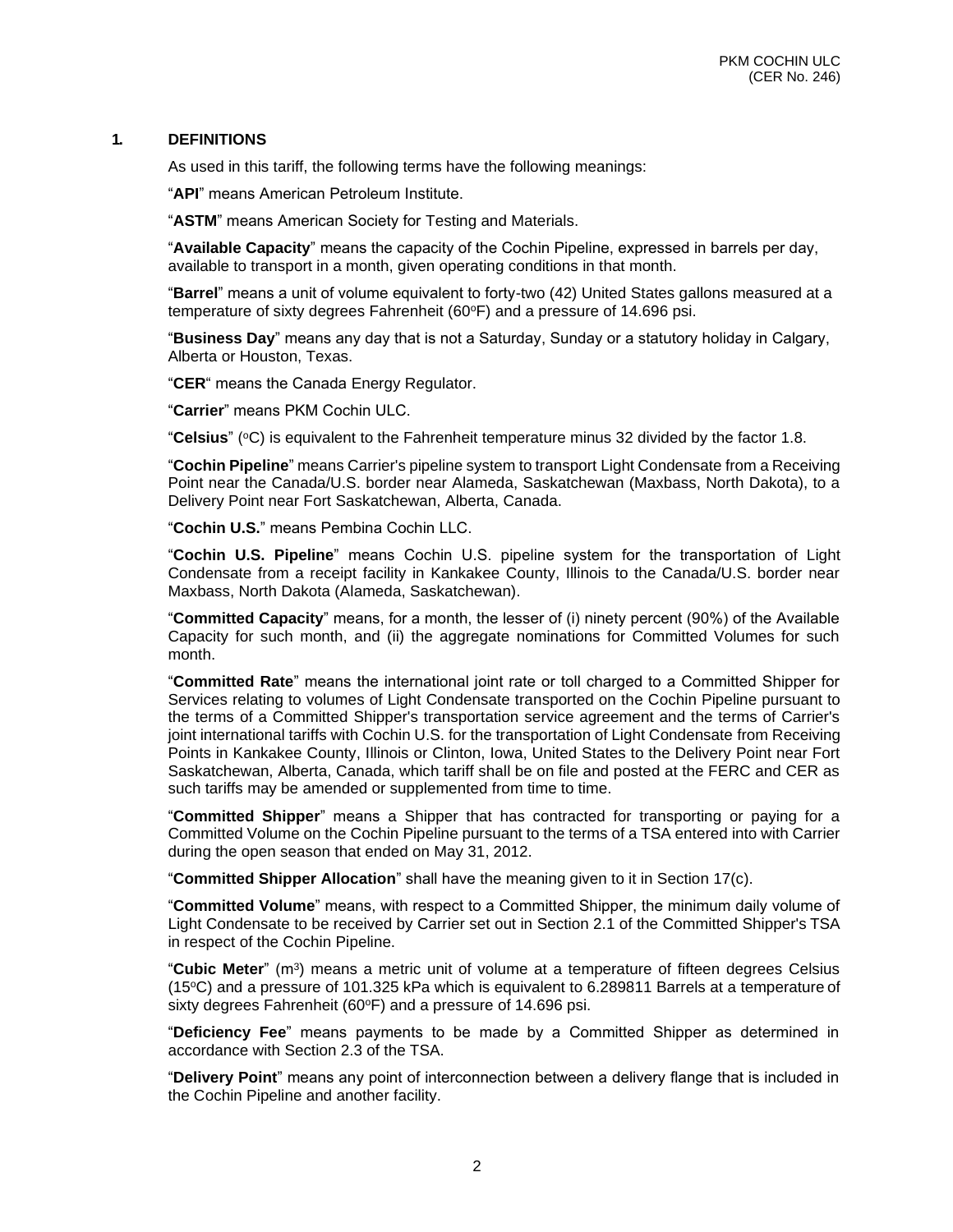#### **1. DEFINITIONS**

As used in this tariff, the following terms have the following meanings:

"**API**" means American Petroleum Institute.

"**ASTM**" means American Society for Testing and Materials.

"**Available Capacity**" means the capacity of the Cochin Pipeline, expressed in barrels per day, available to transport in a month, given operating conditions in that month.

"**Barrel**" means a unit of volume equivalent to forty-two (42) United States gallons measured at a temperature of sixty degrees Fahrenheit (60°F) and a pressure of 14.696 psi.

"**Business Day**" means any day that is not a Saturday, Sunday or a statutory holiday in Calgary, Alberta or Houston, Texas.

"**CER**" means the Canada Energy Regulator.

"**Carrier**" means PKM Cochin ULC.

"**Celsius**" (°C) is equivalent to the Fahrenheit temperature minus 32 divided by the factor 1.8.

"**Cochin Pipeline**" means Carrier's pipeline system to transport Light Condensate from a Receiving Point near the Canada/U.S. border near Alameda, Saskatchewan (Maxbass, North Dakota), to a Delivery Point near Fort Saskatchewan, Alberta, Canada.

"**Cochin U.S.**" means Pembina Cochin LLC.

"**Cochin U.S. Pipeline**" means Cochin U.S. pipeline system for the transportation of Light Condensate from a receipt facility in Kankakee County, Illinois to the Canada/U.S. border near Maxbass, North Dakota (Alameda, Saskatchewan).

"**Committed Capacity**" means, for a month, the lesser of (i) ninety percent (90%) of the Available Capacity for such month, and (ii) the aggregate nominations for Committed Volumes for such month.

"**Committed Rate**" means the international joint rate or toll charged to a Committed Shipper for Services relating to volumes of Light Condensate transported on the Cochin Pipeline pursuant to the terms of a Committed Shipper's transportation service agreement and the terms of Carrier's joint international tariffs with Cochin U.S. for the transportation of Light Condensate from Receiving Points in Kankakee County, Illinois or Clinton, Iowa, United States to the Delivery Point near Fort Saskatchewan, Alberta, Canada, which tariff shall be on file and posted at the FERC and CER as such tariffs may be amended or supplemented from time to time.

"**Committed Shipper**" means a Shipper that has contracted for transporting or paying for a Committed Volume on the Cochin Pipeline pursuant to the terms of a TSA entered into with Carrier during the open season that ended on May 31, 2012.

"**Committed Shipper Allocation**" shall have the meaning given to it in Section 17(c).

"**Committed Volume**" means, with respect to a Committed Shipper, the minimum daily volume of Light Condensate to be received by Carrier set out in Section 2.1 of the Committed Shipper's TSA in respect of the Cochin Pipeline.

"**Cubic Meter**" (m<sup>3</sup> ) means a metric unit of volume at a temperature of fifteen degrees Celsius  $(15\degree C)$  and a pressure of 101.325 kPa which is equivalent to 6.289811 Barrels at a temperature of sixty degrees Fahrenheit (60°F) and a pressure of 14.696 psi.

"**Deficiency Fee**" means payments to be made by a Committed Shipper as determined in accordance with Section 2.3 of the TSA.

"**Delivery Point**" means any point of interconnection between a delivery flange that is included in the Cochin Pipeline and another facility.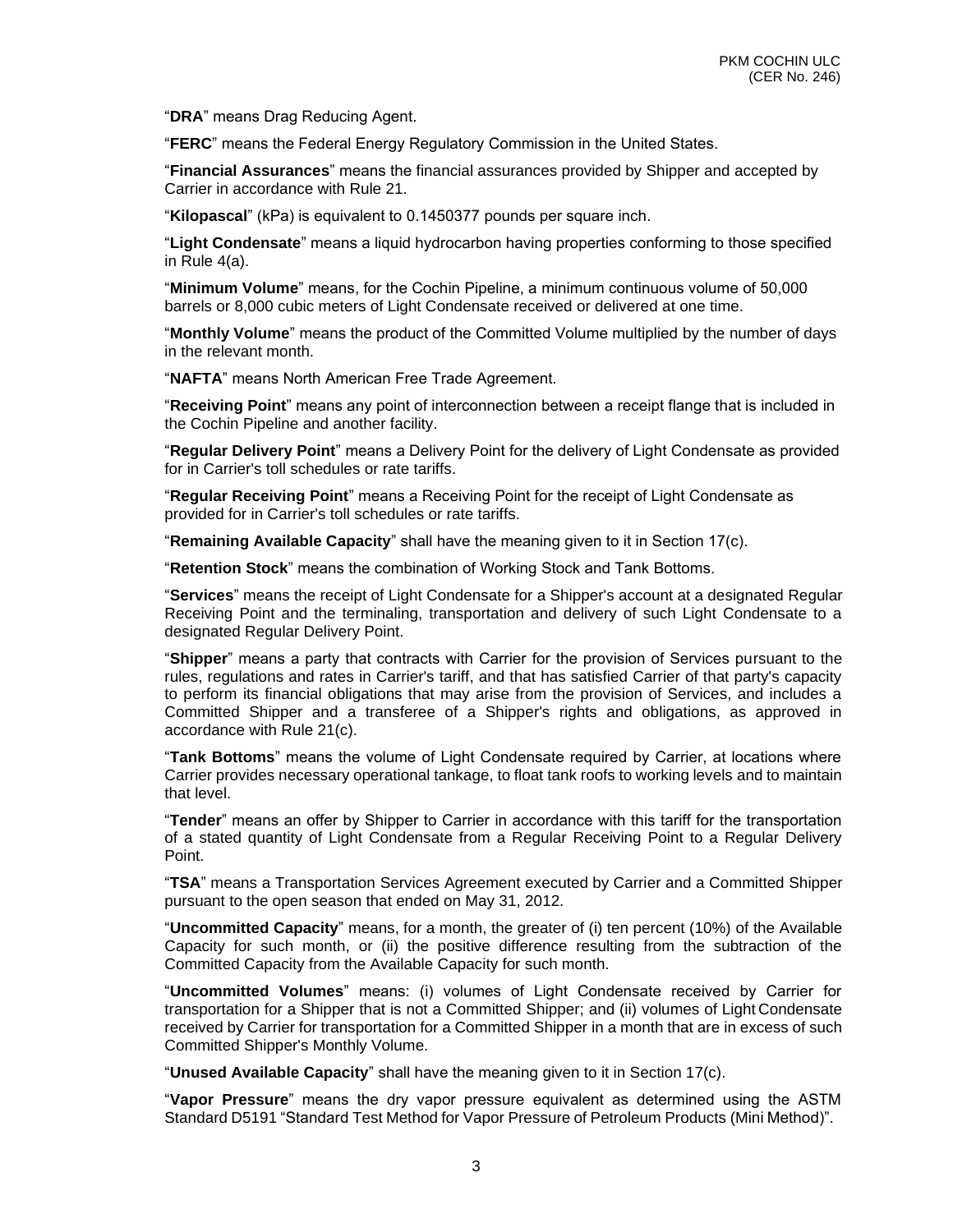"**DRA**" means Drag Reducing Agent.

"**FERC**" means the Federal Energy Regulatory Commission in the United States.

"**Financial Assurances**" means the financial assurances provided by Shipper and accepted by Carrier in accordance with Rule 21.

"**Kilopascal**" (kPa) is equivalent to 0.1450377 pounds per square inch.

"**Light Condensate**" means a liquid hydrocarbon having properties conforming to those specified in Rule 4(a).

"**Minimum Volume**" means, for the Cochin Pipeline, a minimum continuous volume of 50,000 barrels or 8,000 cubic meters of Light Condensate received or delivered at one time.

"**Monthly Volume**" means the product of the Committed Volume multiplied by the number of days in the relevant month.

"**NAFTA**" means North American Free Trade Agreement.

"**Receiving Point**" means any point of interconnection between a receipt flange that is included in the Cochin Pipeline and another facility.

"**Regular Delivery Point**" means a Delivery Point for the delivery of Light Condensate as provided for in Carrier's toll schedules or rate tariffs.

"**Regular Receiving Point**" means a Receiving Point for the receipt of Light Condensate as provided for in Carrier's toll schedules or rate tariffs.

"**Remaining Available Capacity**" shall have the meaning given to it in Section 17(c).

"**Retention Stock**" means the combination of Working Stock and Tank Bottoms.

"**Services**" means the receipt of Light Condensate for a Shipper's account at a designated Regular Receiving Point and the terminaling, transportation and delivery of such Light Condensate to a designated Regular Delivery Point.

"**Shipper**" means a party that contracts with Carrier for the provision of Services pursuant to the rules, regulations and rates in Carrier's tariff, and that has satisfied Carrier of that party's capacity to perform its financial obligations that may arise from the provision of Services, and includes a Committed Shipper and a transferee of a Shipper's rights and obligations, as approved in accordance with Rule 21(c).

"**Tank Bottoms**" means the volume of Light Condensate required by Carrier, at locations where Carrier provides necessary operational tankage, to float tank roofs to working levels and to maintain that level.

"**Tender**" means an offer by Shipper to Carrier in accordance with this tariff for the transportation of a stated quantity of Light Condensate from a Regular Receiving Point to a Regular Delivery Point.

"**TSA**" means a Transportation Services Agreement executed by Carrier and a Committed Shipper pursuant to the open season that ended on May 31, 2012.

"**Uncommitted Capacity**" means, for a month, the greater of (i) ten percent (10%) of the Available Capacity for such month, or (ii) the positive difference resulting from the subtraction of the Committed Capacity from the Available Capacity for such month.

"**Uncommitted Volumes**" means: (i) volumes of Light Condensate received by Carrier for transportation for a Shipper that is not a Committed Shipper; and (ii) volumes of Light Condensate received by Carrier for transportation for a Committed Shipper in a month that are in excess of such Committed Shipper's Monthly Volume.

"**Unused Available Capacity**" shall have the meaning given to it in Section 17(c).

"**Vapor Pressure**" means the dry vapor pressure equivalent as determined using the ASTM Standard D5191 "Standard Test Method for Vapor Pressure of Petroleum Products (Mini Method)".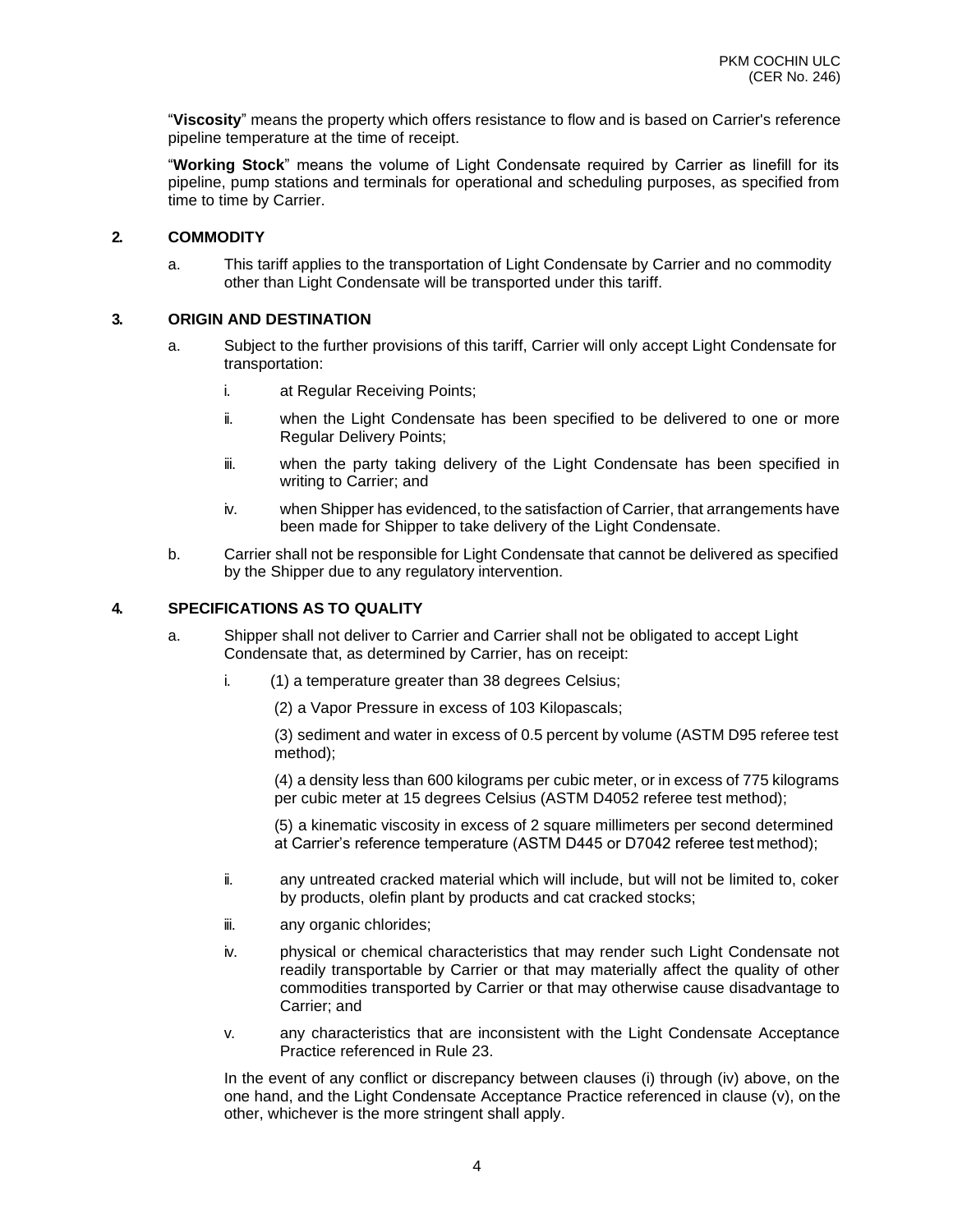"**Viscosity**" means the property which offers resistance to flow and is based on Carrier's reference pipeline temperature at the time of receipt.

"**Working Stock**" means the volume of Light Condensate required by Carrier as linefill for its pipeline, pump stations and terminals for operational and scheduling purposes, as specified from time to time by Carrier.

#### **2. COMMODITY**

a. This tariff applies to the transportation of Light Condensate by Carrier and no commodity other than Light Condensate will be transported under this tariff.

#### **3. ORIGIN AND DESTINATION**

- a. Subject to the further provisions of this tariff, Carrier will only accept Light Condensate for transportation:
	- i. at Regular Receiving Points;
	- ii. when the Light Condensate has been specified to be delivered to one or more Regular Delivery Points;
	- iii. when the party taking delivery of the Light Condensate has been specified in writing to Carrier; and
	- iv. when Shipper has evidenced, to the satisfaction of Carrier, that arrangements have been made for Shipper to take delivery of the Light Condensate.
- b. Carrier shall not be responsible for Light Condensate that cannot be delivered as specified by the Shipper due to any regulatory intervention.

#### **4. SPECIFICATIONS AS TO QUALITY**

- a. Shipper shall not deliver to Carrier and Carrier shall not be obligated to accept Light Condensate that, as determined by Carrier, has on receipt:
	- i. (1) a temperature greater than 38 degrees Celsius;

(2) a Vapor Pressure in excess of 103 Kilopascals;

(3) sediment and water in excess of 0.5 percent by volume (ASTM D95 referee test method);

(4) a density less than 600 kilograms per cubic meter, or in excess of 775 kilograms per cubic meter at 15 degrees Celsius (ASTM D4052 referee test method);

(5) a kinematic viscosity in excess of 2 square millimeters per second determined at Carrier's reference temperature (ASTM D445 or D7042 referee test method);

- ii. any untreated cracked material which will include, but will not be limited to, coker by products, olefin plant by products and cat cracked stocks;
- iii. any organic chlorides;
- iv. physical or chemical characteristics that may render such Light Condensate not readily transportable by Carrier or that may materially affect the quality of other commodities transported by Carrier or that may otherwise cause disadvantage to Carrier; and
- v. any characteristics that are inconsistent with the Light Condensate Acceptance Practice referenced in Rule 23.

In the event of any conflict or discrepancy between clauses (i) through (iv) above, on the one hand, and the Light Condensate Acceptance Practice referenced in clause (v), on the other, whichever is the more stringent shall apply.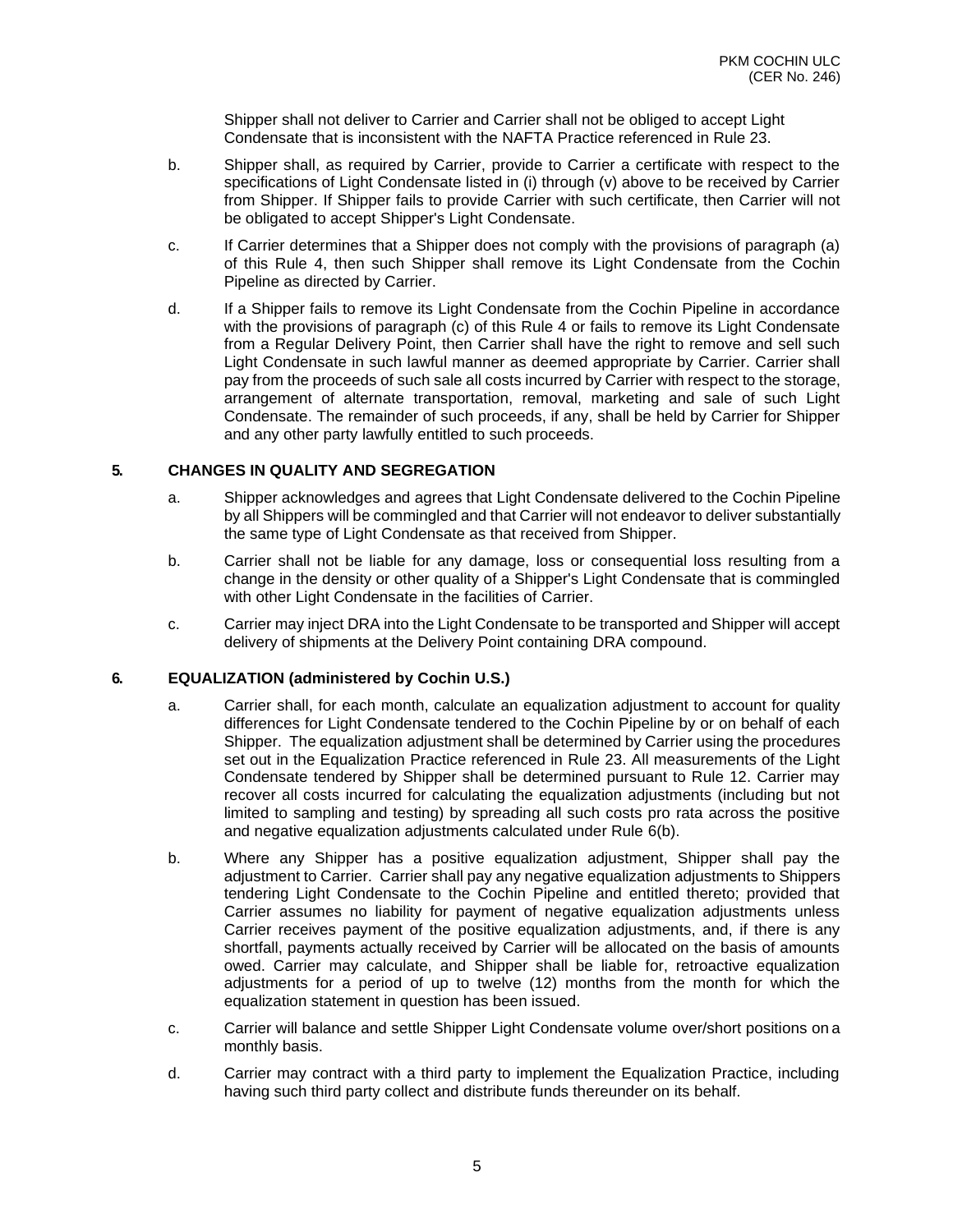Shipper shall not deliver to Carrier and Carrier shall not be obliged to accept Light Condensate that is inconsistent with the NAFTA Practice referenced in Rule 23.

- b. Shipper shall, as required by Carrier, provide to Carrier a certificate with respect to the specifications of Light Condensate listed in (i) through (v) above to be received by Carrier from Shipper. If Shipper fails to provide Carrier with such certificate, then Carrier will not be obligated to accept Shipper's Light Condensate.
- c. If Carrier determines that a Shipper does not comply with the provisions of paragraph (a) of this Rule 4, then such Shipper shall remove its Light Condensate from the Cochin Pipeline as directed by Carrier.
- d. If a Shipper fails to remove its Light Condensate from the Cochin Pipeline in accordance with the provisions of paragraph (c) of this Rule 4 or fails to remove its Light Condensate from a Regular Delivery Point, then Carrier shall have the right to remove and sell such Light Condensate in such lawful manner as deemed appropriate by Carrier. Carrier shall pay from the proceeds of such sale all costs incurred by Carrier with respect to the storage, arrangement of alternate transportation, removal, marketing and sale of such Light Condensate. The remainder of such proceeds, if any, shall be held by Carrier for Shipper and any other party lawfully entitled to such proceeds.

#### **5. CHANGES IN QUALITY AND SEGREGATION**

- a. Shipper acknowledges and agrees that Light Condensate delivered to the Cochin Pipeline by all Shippers will be commingled and that Carrier will not endeavor to deliver substantially the same type of Light Condensate as that received from Shipper.
- b. Carrier shall not be liable for any damage, loss or consequential loss resulting from a change in the density or other quality of a Shipper's Light Condensate that is commingled with other Light Condensate in the facilities of Carrier.
- c. Carrier may inject DRA into the Light Condensate to be transported and Shipper will accept delivery of shipments at the Delivery Point containing DRA compound.

#### **6. EQUALIZATION (administered by Cochin U.S.)**

- a. Carrier shall, for each month, calculate an equalization adjustment to account for quality differences for Light Condensate tendered to the Cochin Pipeline by or on behalf of each Shipper. The equalization adjustment shall be determined by Carrier using the procedures set out in the Equalization Practice referenced in Rule 23. All measurements of the Light Condensate tendered by Shipper shall be determined pursuant to Rule 12. Carrier may recover all costs incurred for calculating the equalization adjustments (including but not limited to sampling and testing) by spreading all such costs pro rata across the positive and negative equalization adjustments calculated under Rule 6(b).
- b. Where any Shipper has a positive equalization adjustment, Shipper shall pay the adjustment to Carrier. Carrier shall pay any negative equalization adjustments to Shippers tendering Light Condensate to the Cochin Pipeline and entitled thereto; provided that Carrier assumes no liability for payment of negative equalization adjustments unless Carrier receives payment of the positive equalization adjustments, and, if there is any shortfall, payments actually received by Carrier will be allocated on the basis of amounts owed. Carrier may calculate, and Shipper shall be liable for, retroactive equalization adjustments for a period of up to twelve (12) months from the month for which the equalization statement in question has been issued.
- c. Carrier will balance and settle Shipper Light Condensate volume over/short positions on a monthly basis.
- d. Carrier may contract with a third party to implement the Equalization Practice, including having such third party collect and distribute funds thereunder on its behalf.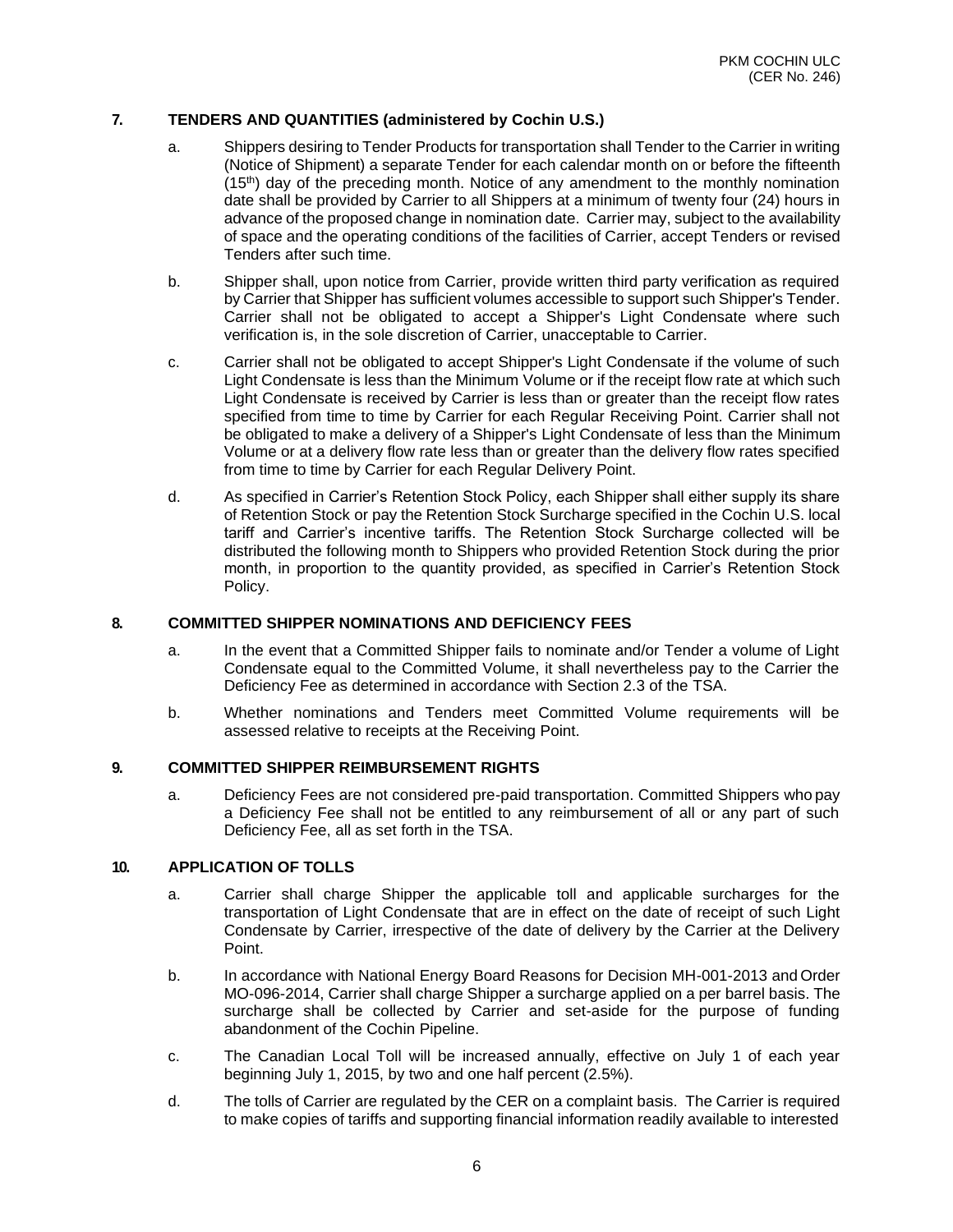#### **7. TENDERS AND QUANTITIES (administered by Cochin U.S.)**

- a. Shippers desiring to Tender Products for transportation shall Tender to the Carrier in writing (Notice of Shipment) a separate Tender for each calendar month on or before the fifteenth  $(15<sup>th</sup>)$  day of the preceding month. Notice of any amendment to the monthly nomination date shall be provided by Carrier to all Shippers at a minimum of twenty four (24) hours in advance of the proposed change in nomination date. Carrier may, subject to the availability of space and the operating conditions of the facilities of Carrier, accept Tenders or revised Tenders after such time.
- b. Shipper shall, upon notice from Carrier, provide written third party verification as required by Carrier that Shipper has sufficient volumes accessible to support such Shipper's Tender. Carrier shall not be obligated to accept a Shipper's Light Condensate where such verification is, in the sole discretion of Carrier, unacceptable to Carrier.
- c. Carrier shall not be obligated to accept Shipper's Light Condensate if the volume of such Light Condensate is less than the Minimum Volume or if the receipt flow rate at which such Light Condensate is received by Carrier is less than or greater than the receipt flow rates specified from time to time by Carrier for each Regular Receiving Point. Carrier shall not be obligated to make a delivery of a Shipper's Light Condensate of less than the Minimum Volume or at a delivery flow rate less than or greater than the delivery flow rates specified from time to time by Carrier for each Regular Delivery Point.
- d. As specified in Carrier's Retention Stock Policy, each Shipper shall either supply its share of Retention Stock or pay the Retention Stock Surcharge specified in the Cochin U.S. local tariff and Carrier's incentive tariffs. The Retention Stock Surcharge collected will be distributed the following month to Shippers who provided Retention Stock during the prior month, in proportion to the quantity provided, as specified in Carrier's Retention Stock Policy.

#### **8. COMMITTED SHIPPER NOMINATIONS AND DEFICIENCY FEES**

- a. In the event that a Committed Shipper fails to nominate and/or Tender a volume of Light Condensate equal to the Committed Volume, it shall nevertheless pay to the Carrier the Deficiency Fee as determined in accordance with Section 2.3 of the TSA.
- b. Whether nominations and Tenders meet Committed Volume requirements will be assessed relative to receipts at the Receiving Point.

#### **9. COMMITTED SHIPPER REIMBURSEMENT RIGHTS**

a. Deficiency Fees are not considered pre-paid transportation. Committed Shippers who pay a Deficiency Fee shall not be entitled to any reimbursement of all or any part of such Deficiency Fee, all as set forth in the TSA.

#### **10. APPLICATION OF TOLLS**

- a. Carrier shall charge Shipper the applicable toll and applicable surcharges for the transportation of Light Condensate that are in effect on the date of receipt of such Light Condensate by Carrier, irrespective of the date of delivery by the Carrier at the Delivery Point.
- b. In accordance with National Energy Board Reasons for Decision MH-001-2013 and Order MO-096-2014, Carrier shall charge Shipper a surcharge applied on a per barrel basis. The surcharge shall be collected by Carrier and set-aside for the purpose of funding abandonment of the Cochin Pipeline.
- c. The Canadian Local Toll will be increased annually, effective on July 1 of each year beginning July 1, 2015, by two and one half percent (2.5%).
- d. The tolls of Carrier are regulated by the CER on a complaint basis. The Carrier is required to make copies of tariffs and supporting financial information readily available to interested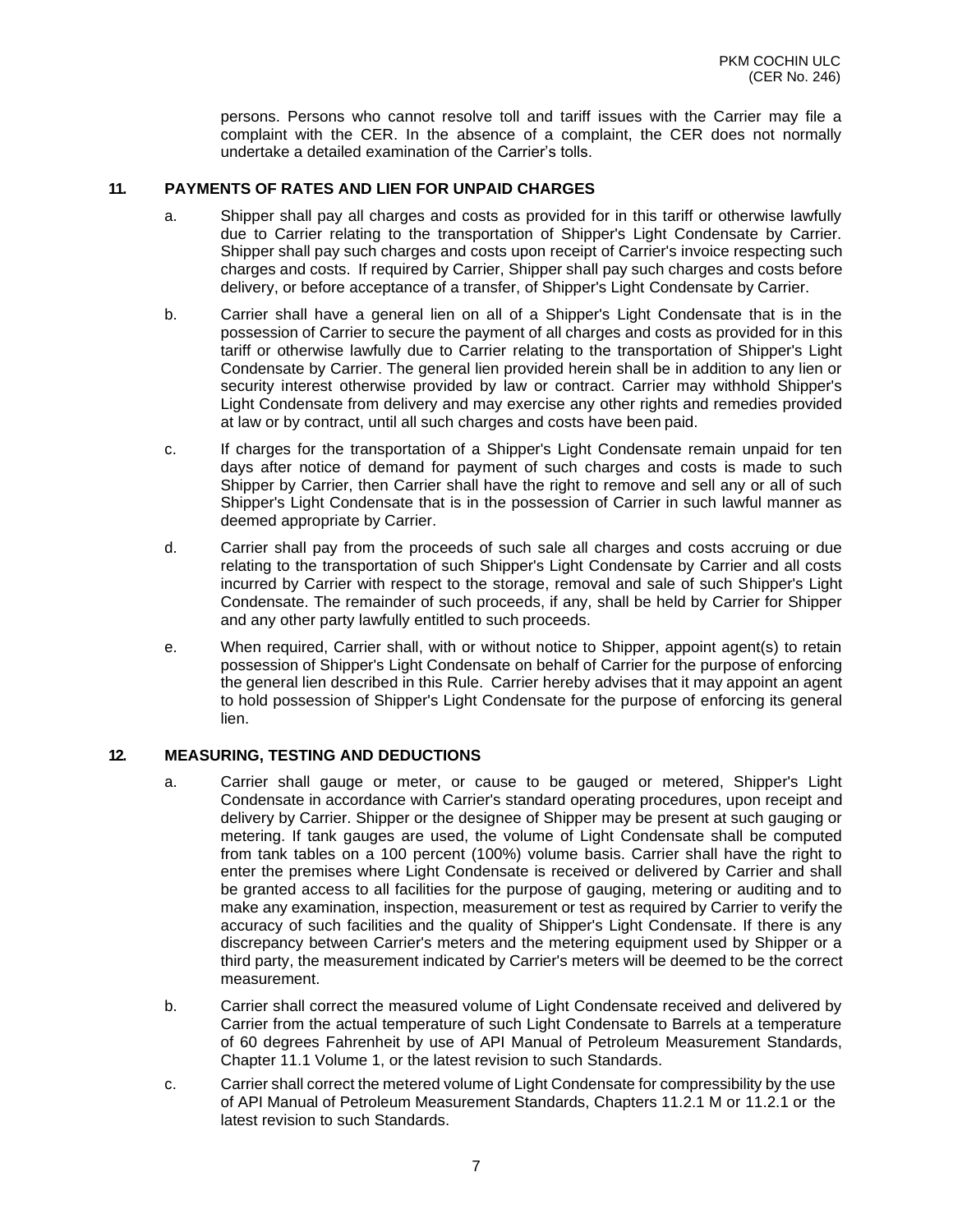persons. Persons who cannot resolve toll and tariff issues with the Carrier may file a complaint with the CER. In the absence of a complaint, the CER does not normally undertake a detailed examination of the Carrier's tolls.

#### **11. PAYMENTS OF RATES AND LIEN FOR UNPAID CHARGES**

- a. Shipper shall pay all charges and costs as provided for in this tariff or otherwise lawfully due to Carrier relating to the transportation of Shipper's Light Condensate by Carrier. Shipper shall pay such charges and costs upon receipt of Carrier's invoice respecting such charges and costs. If required by Carrier, Shipper shall pay such charges and costs before delivery, or before acceptance of a transfer, of Shipper's Light Condensate by Carrier.
- b. Carrier shall have a general lien on all of a Shipper's Light Condensate that is in the possession of Carrier to secure the payment of all charges and costs as provided for in this tariff or otherwise lawfully due to Carrier relating to the transportation of Shipper's Light Condensate by Carrier. The general lien provided herein shall be in addition to any lien or security interest otherwise provided by law or contract. Carrier may withhold Shipper's Light Condensate from delivery and may exercise any other rights and remedies provided at law or by contract, until all such charges and costs have been paid.
- c. If charges for the transportation of a Shipper's Light Condensate remain unpaid for ten days after notice of demand for payment of such charges and costs is made to such Shipper by Carrier, then Carrier shall have the right to remove and sell any or all of such Shipper's Light Condensate that is in the possession of Carrier in such lawful manner as deemed appropriate by Carrier.
- d. Carrier shall pay from the proceeds of such sale all charges and costs accruing or due relating to the transportation of such Shipper's Light Condensate by Carrier and all costs incurred by Carrier with respect to the storage, removal and sale of such Shipper's Light Condensate. The remainder of such proceeds, if any, shall be held by Carrier for Shipper and any other party lawfully entitled to such proceeds.
- e. When required, Carrier shall, with or without notice to Shipper, appoint agent(s) to retain possession of Shipper's Light Condensate on behalf of Carrier for the purpose of enforcing the general lien described in this Rule. Carrier hereby advises that it may appoint an agent to hold possession of Shipper's Light Condensate for the purpose of enforcing its general lien.

#### **12. MEASURING, TESTING AND DEDUCTIONS**

- a. Carrier shall gauge or meter, or cause to be gauged or metered, Shipper's Light Condensate in accordance with Carrier's standard operating procedures, upon receipt and delivery by Carrier. Shipper or the designee of Shipper may be present at such gauging or metering. If tank gauges are used, the volume of Light Condensate shall be computed from tank tables on a 100 percent (100%) volume basis. Carrier shall have the right to enter the premises where Light Condensate is received or delivered by Carrier and shall be granted access to all facilities for the purpose of gauging, metering or auditing and to make any examination, inspection, measurement or test as required by Carrier to verify the accuracy of such facilities and the quality of Shipper's Light Condensate. If there is any discrepancy between Carrier's meters and the metering equipment used by Shipper or a third party, the measurement indicated by Carrier's meters will be deemed to be the correct measurement.
- b. Carrier shall correct the measured volume of Light Condensate received and delivered by Carrier from the actual temperature of such Light Condensate to Barrels at a temperature of 60 degrees Fahrenheit by use of API Manual of Petroleum Measurement Standards, Chapter 11.1 Volume 1, or the latest revision to such Standards.
- c. Carrier shall correct the metered volume of Light Condensate for compressibility by the use of API Manual of Petroleum Measurement Standards, Chapters 11.2.1 M or 11.2.1 or the latest revision to such Standards.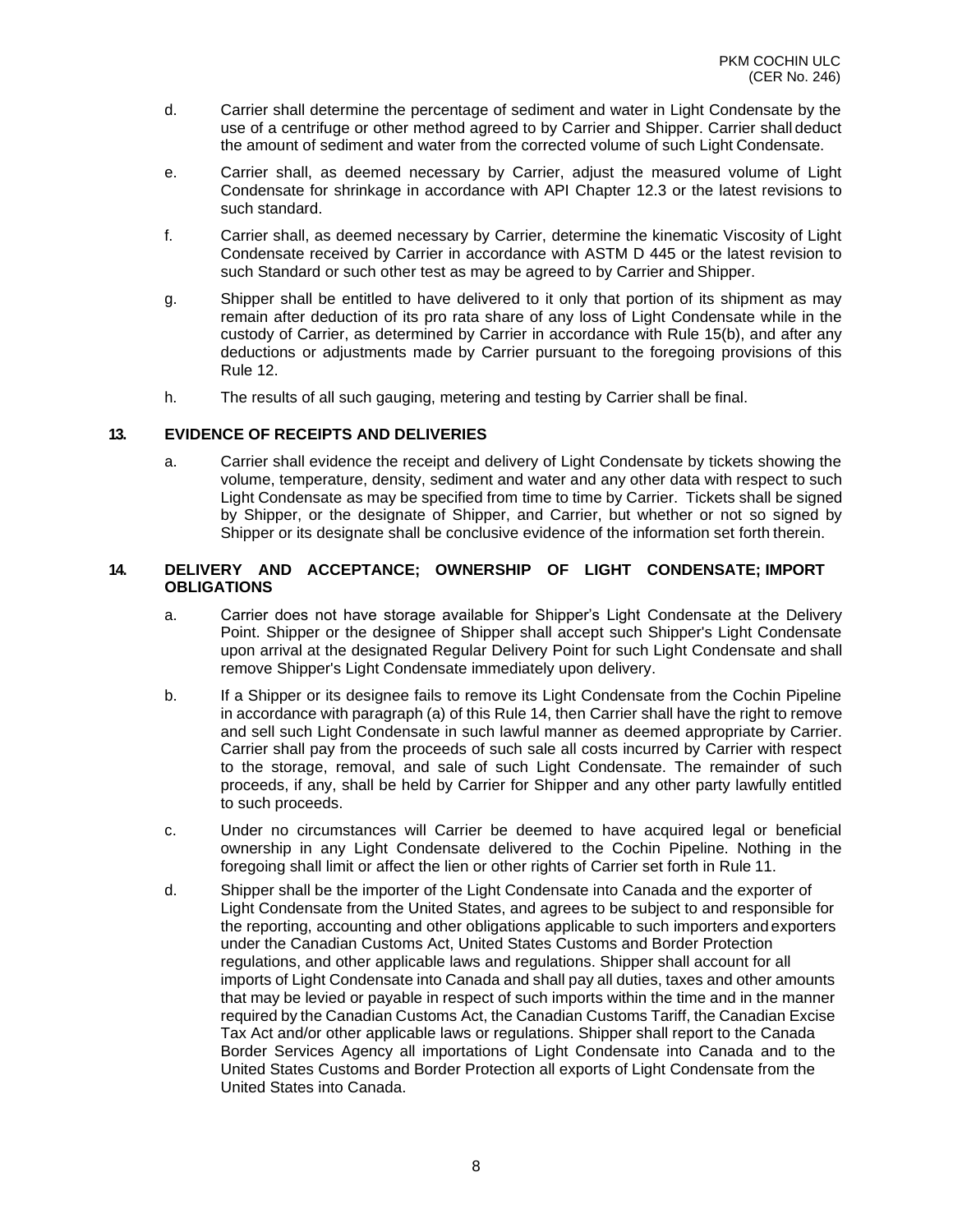- d. Carrier shall determine the percentage of sediment and water in Light Condensate by the use of a centrifuge or other method agreed to by Carrier and Shipper. Carrier shall deduct the amount of sediment and water from the corrected volume of such Light Condensate.
- e. Carrier shall, as deemed necessary by Carrier, adjust the measured volume of Light Condensate for shrinkage in accordance with API Chapter 12.3 or the latest revisions to such standard.
- f. Carrier shall, as deemed necessary by Carrier, determine the kinematic Viscosity of Light Condensate received by Carrier in accordance with ASTM D 445 or the latest revision to such Standard or such other test as may be agreed to by Carrier and Shipper.
- g. Shipper shall be entitled to have delivered to it only that portion of its shipment as may remain after deduction of its pro rata share of any loss of Light Condensate while in the custody of Carrier, as determined by Carrier in accordance with Rule 15(b), and after any deductions or adjustments made by Carrier pursuant to the foregoing provisions of this Rule 12.
- h. The results of all such gauging, metering and testing by Carrier shall be final.

#### **13. EVIDENCE OF RECEIPTS AND DELIVERIES**

a. Carrier shall evidence the receipt and delivery of Light Condensate by tickets showing the volume, temperature, density, sediment and water and any other data with respect to such Light Condensate as may be specified from time to time by Carrier. Tickets shall be signed by Shipper, or the designate of Shipper, and Carrier, but whether or not so signed by Shipper or its designate shall be conclusive evidence of the information set forth therein.

#### **14. DELIVERY AND ACCEPTANCE; OWNERSHIP OF LIGHT CONDENSATE; IMPORT OBLIGATIONS**

- a. Carrier does not have storage available for Shipper's Light Condensate at the Delivery Point. Shipper or the designee of Shipper shall accept such Shipper's Light Condensate upon arrival at the designated Regular Delivery Point for such Light Condensate and shall remove Shipper's Light Condensate immediately upon delivery.
- b. If a Shipper or its designee fails to remove its Light Condensate from the Cochin Pipeline in accordance with paragraph (a) of this Rule 14, then Carrier shall have the right to remove and sell such Light Condensate in such lawful manner as deemed appropriate by Carrier. Carrier shall pay from the proceeds of such sale all costs incurred by Carrier with respect to the storage, removal, and sale of such Light Condensate. The remainder of such proceeds, if any, shall be held by Carrier for Shipper and any other party lawfully entitled to such proceeds.
- c. Under no circumstances will Carrier be deemed to have acquired legal or beneficial ownership in any Light Condensate delivered to the Cochin Pipeline. Nothing in the foregoing shall limit or affect the lien or other rights of Carrier set forth in Rule 11.
- d. Shipper shall be the importer of the Light Condensate into Canada and the exporter of Light Condensate from the United States, and agrees to be subject to and responsible for the reporting, accounting and other obligations applicable to such importers and exporters under the Canadian Customs Act, United States Customs and Border Protection regulations, and other applicable laws and regulations. Shipper shall account for all imports of Light Condensate into Canada and shall pay all duties, taxes and other amounts that may be levied or payable in respect of such imports within the time and in the manner required by the Canadian Customs Act, the Canadian Customs Tariff, the Canadian Excise Tax Act and/or other applicable laws or regulations. Shipper shall report to the Canada Border Services Agency all importations of Light Condensate into Canada and to the United States Customs and Border Protection all exports of Light Condensate from the United States into Canada.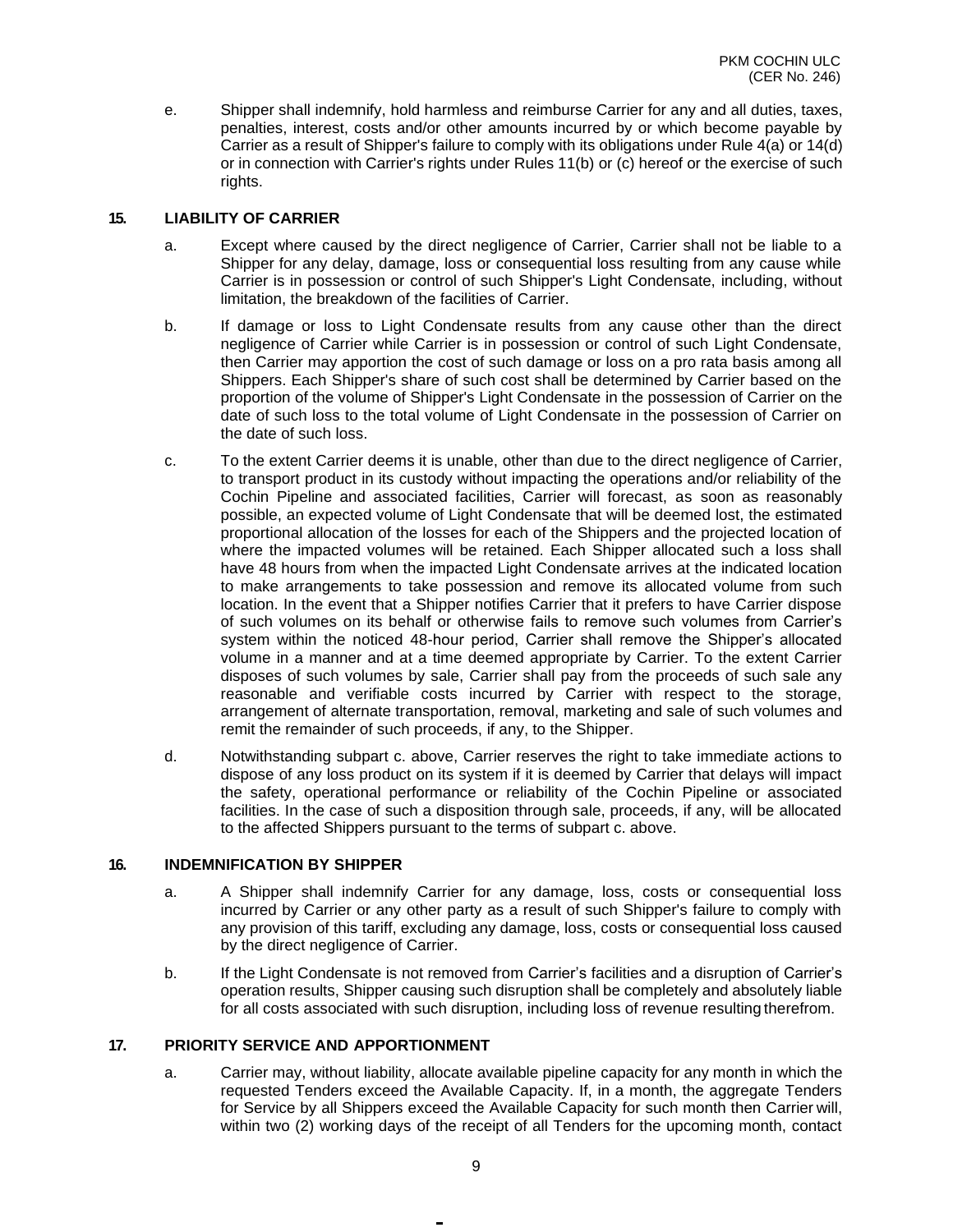e. Shipper shall indemnify, hold harmless and reimburse Carrier for any and all duties, taxes, penalties, interest, costs and/or other amounts incurred by or which become payable by Carrier as a result of Shipper's failure to comply with its obligations under Rule 4(a) or 14(d) or in connection with Carrier's rights under Rules 11(b) or (c) hereof or the exercise of such rights.

#### **15. LIABILITY OF CARRIER**

- a. Except where caused by the direct negligence of Carrier, Carrier shall not be liable to a Shipper for any delay, damage, loss or consequential loss resulting from any cause while Carrier is in possession or control of such Shipper's Light Condensate, including, without limitation, the breakdown of the facilities of Carrier.
- b. If damage or loss to Light Condensate results from any cause other than the direct negligence of Carrier while Carrier is in possession or control of such Light Condensate, then Carrier may apportion the cost of such damage or loss on a pro rata basis among all Shippers. Each Shipper's share of such cost shall be determined by Carrier based on the proportion of the volume of Shipper's Light Condensate in the possession of Carrier on the date of such loss to the total volume of Light Condensate in the possession of Carrier on the date of such loss.
- c. To the extent Carrier deems it is unable, other than due to the direct negligence of Carrier, to transport product in its custody without impacting the operations and/or reliability of the Cochin Pipeline and associated facilities, Carrier will forecast, as soon as reasonably possible, an expected volume of Light Condensate that will be deemed lost, the estimated proportional allocation of the losses for each of the Shippers and the projected location of where the impacted volumes will be retained. Each Shipper allocated such a loss shall have 48 hours from when the impacted Light Condensate arrives at the indicated location to make arrangements to take possession and remove its allocated volume from such location. In the event that a Shipper notifies Carrier that it prefers to have Carrier dispose of such volumes on its behalf or otherwise fails to remove such volumes from Carrier's system within the noticed 48-hour period, Carrier shall remove the Shipper's allocated volume in a manner and at a time deemed appropriate by Carrier. To the extent Carrier disposes of such volumes by sale, Carrier shall pay from the proceeds of such sale any reasonable and verifiable costs incurred by Carrier with respect to the storage, arrangement of alternate transportation, removal, marketing and sale of such volumes and remit the remainder of such proceeds, if any, to the Shipper.
- d. Notwithstanding subpart c. above, Carrier reserves the right to take immediate actions to dispose of any loss product on its system if it is deemed by Carrier that delays will impact the safety, operational performance or reliability of the Cochin Pipeline or associated facilities. In the case of such a disposition through sale, proceeds, if any, will be allocated to the affected Shippers pursuant to the terms of subpart c. above.

#### **16. INDEMNIFICATION BY SHIPPER**

- a. A Shipper shall indemnify Carrier for any damage, loss, costs or consequential loss incurred by Carrier or any other party as a result of such Shipper's failure to comply with any provision of this tariff, excluding any damage, loss, costs or consequential loss caused by the direct negligence of Carrier.
- b. If the Light Condensate is not removed from Carrier's facilities and a disruption of Carrier's operation results, Shipper causing such disruption shall be completely and absolutely liable for all costs associated with such disruption, including loss of revenue resulting therefrom.

#### **17. PRIORITY SERVICE AND APPORTIONMENT**

a. Carrier may, without liability, allocate available pipeline capacity for any month in which the requested Tenders exceed the Available Capacity. If, in a month, the aggregate Tenders for Service by all Shippers exceed the Available Capacity for such month then Carrier will, within two (2) working days of the receipt of all Tenders for the upcoming month, contact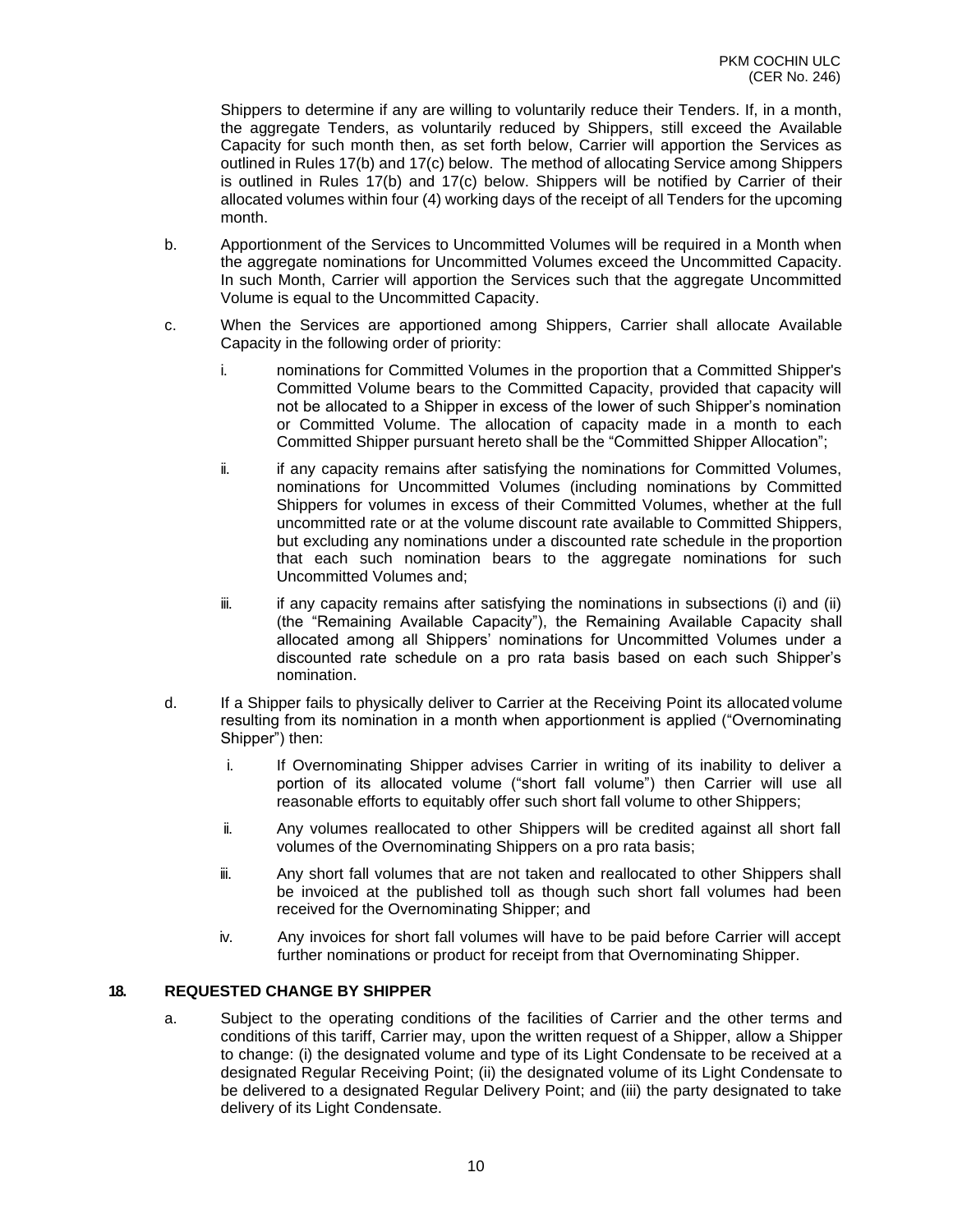Shippers to determine if any are willing to voluntarily reduce their Tenders. If, in a month, the aggregate Tenders, as voluntarily reduced by Shippers, still exceed the Available Capacity for such month then, as set forth below, Carrier will apportion the Services as outlined in Rules 17(b) and 17(c) below. The method of allocating Service among Shippers is outlined in Rules 17(b) and 17(c) below. Shippers will be notified by Carrier of their allocated volumes within four (4) working days of the receipt of all Tenders for the upcoming month.

- b. Apportionment of the Services to Uncommitted Volumes will be required in a Month when the aggregate nominations for Uncommitted Volumes exceed the Uncommitted Capacity. In such Month, Carrier will apportion the Services such that the aggregate Uncommitted Volume is equal to the Uncommitted Capacity.
- c. When the Services are apportioned among Shippers, Carrier shall allocate Available Capacity in the following order of priority:
	- i. nominations for Committed Volumes in the proportion that a Committed Shipper's Committed Volume bears to the Committed Capacity, provided that capacity will not be allocated to a Shipper in excess of the lower of such Shipper's nomination or Committed Volume. The allocation of capacity made in a month to each Committed Shipper pursuant hereto shall be the "Committed Shipper Allocation";
	- ii. if any capacity remains after satisfying the nominations for Committed Volumes, nominations for Uncommitted Volumes (including nominations by Committed Shippers for volumes in excess of their Committed Volumes, whether at the full uncommitted rate or at the volume discount rate available to Committed Shippers, but excluding any nominations under a discounted rate schedule in the proportion that each such nomination bears to the aggregate nominations for such Uncommitted Volumes and;
	- $\ddot{\mathbf{i}}$  if any capacity remains after satisfying the nominations in subsections (i) and (ii) (the "Remaining Available Capacity"), the Remaining Available Capacity shall allocated among all Shippers' nominations for Uncommitted Volumes under a discounted rate schedule on a pro rata basis based on each such Shipper's nomination.
- d. If a Shipper fails to physically deliver to Carrier at the Receiving Point its allocated volume resulting from its nomination in a month when apportionment is applied ("Overnominating Shipper") then:
	- i. If Overnominating Shipper advises Carrier in writing of its inability to deliver a portion of its allocated volume ("short fall volume") then Carrier will use all reasonable efforts to equitably offer such short fall volume to other Shippers;
	- ii. Any volumes reallocated to other Shippers will be credited against all short fall volumes of the Overnominating Shippers on a pro rata basis;
	- iii. Any short fall volumes that are not taken and reallocated to other Shippers shall be invoiced at the published toll as though such short fall volumes had been received for the Overnominating Shipper; and
	- iv. Any invoices for short fall volumes will have to be paid before Carrier will accept further nominations or product for receipt from that Overnominating Shipper.

#### **18. REQUESTED CHANGE BY SHIPPER**

a. Subject to the operating conditions of the facilities of Carrier and the other terms and conditions of this tariff, Carrier may, upon the written request of a Shipper, allow a Shipper to change: (i) the designated volume and type of its Light Condensate to be received at a designated Regular Receiving Point; (ii) the designated volume of its Light Condensate to be delivered to a designated Regular Delivery Point; and (iii) the party designated to take delivery of its Light Condensate.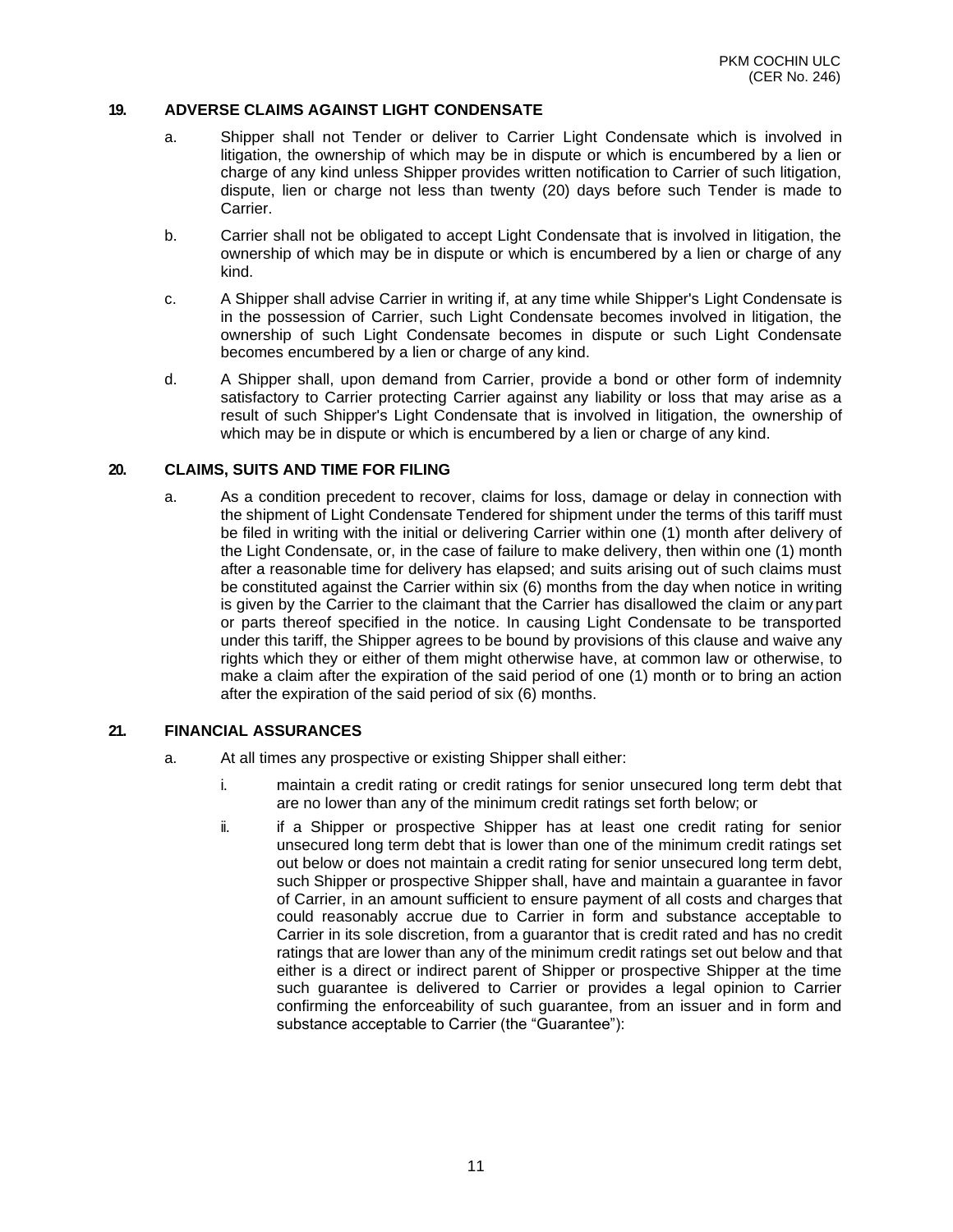#### **19. ADVERSE CLAIMS AGAINST LIGHT CONDENSATE**

- a. Shipper shall not Tender or deliver to Carrier Light Condensate which is involved in litigation, the ownership of which may be in dispute or which is encumbered by a lien or charge of any kind unless Shipper provides written notification to Carrier of such litigation, dispute, lien or charge not less than twenty (20) days before such Tender is made to Carrier.
- b. Carrier shall not be obligated to accept Light Condensate that is involved in litigation, the ownership of which may be in dispute or which is encumbered by a lien or charge of any kind.
- c. A Shipper shall advise Carrier in writing if, at any time while Shipper's Light Condensate is in the possession of Carrier, such Light Condensate becomes involved in litigation, the ownership of such Light Condensate becomes in dispute or such Light Condensate becomes encumbered by a lien or charge of any kind.
- d. A Shipper shall, upon demand from Carrier, provide a bond or other form of indemnity satisfactory to Carrier protecting Carrier against any liability or loss that may arise as a result of such Shipper's Light Condensate that is involved in litigation, the ownership of which may be in dispute or which is encumbered by a lien or charge of any kind.

#### **20. CLAIMS, SUITS AND TIME FOR FILING**

a. As a condition precedent to recover, claims for loss, damage or delay in connection with the shipment of Light Condensate Tendered for shipment under the terms of this tariff must be filed in writing with the initial or delivering Carrier within one (1) month after delivery of the Light Condensate, or, in the case of failure to make delivery, then within one (1) month after a reasonable time for delivery has elapsed; and suits arising out of such claims must be constituted against the Carrier within six (6) months from the day when notice in writing is given by the Carrier to the claimant that the Carrier has disallowed the claim or any part or parts thereof specified in the notice. In causing Light Condensate to be transported under this tariff, the Shipper agrees to be bound by provisions of this clause and waive any rights which they or either of them might otherwise have, at common law or otherwise, to make a claim after the expiration of the said period of one (1) month or to bring an action after the expiration of the said period of six (6) months.

#### **21. FINANCIAL ASSURANCES**

- a. At all times any prospective or existing Shipper shall either:
	- i. maintain a credit rating or credit ratings for senior unsecured long term debt that are no lower than any of the minimum credit ratings set forth below; or
	- ii. if a Shipper or prospective Shipper has at least one credit rating for senior unsecured long term debt that is lower than one of the minimum credit ratings set out below or does not maintain a credit rating for senior unsecured long term debt, such Shipper or prospective Shipper shall, have and maintain a guarantee in favor of Carrier, in an amount sufficient to ensure payment of all costs and charges that could reasonably accrue due to Carrier in form and substance acceptable to Carrier in its sole discretion, from a guarantor that is credit rated and has no credit ratings that are lower than any of the minimum credit ratings set out below and that either is a direct or indirect parent of Shipper or prospective Shipper at the time such guarantee is delivered to Carrier or provides a legal opinion to Carrier confirming the enforceability of such guarantee, from an issuer and in form and substance acceptable to Carrier (the "Guarantee"):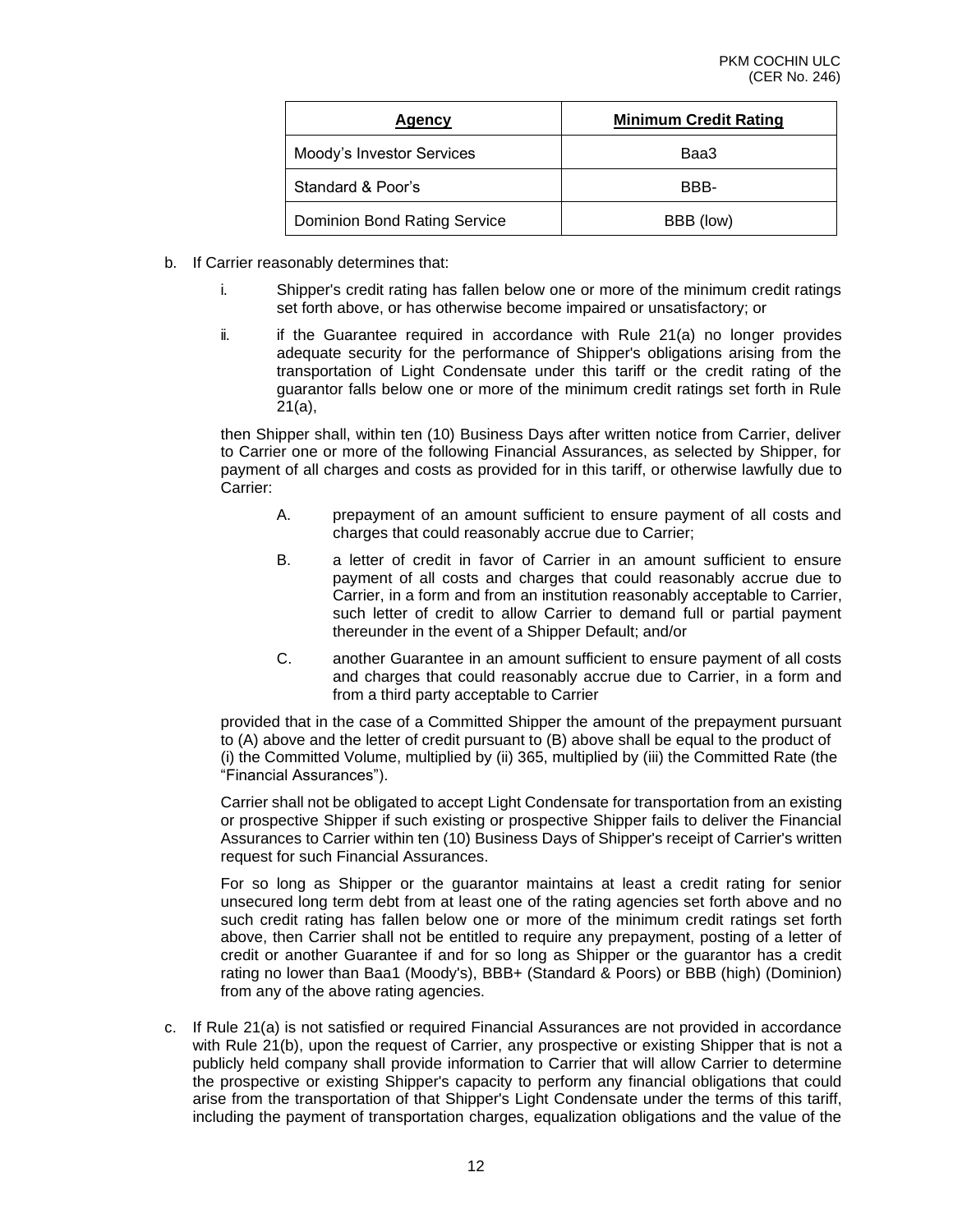| Agency                       | <b>Minimum Credit Rating</b> |
|------------------------------|------------------------------|
| Moody's Investor Services    | Baa3                         |
| Standard & Poor's            | BBB-                         |
| Dominion Bond Rating Service | BBB (low)                    |

- b. If Carrier reasonably determines that:
	- i. Shipper's credit rating has fallen below one or more of the minimum credit ratings set forth above, or has otherwise become impaired or unsatisfactory; or
	- $ii.$  if the Guarantee required in accordance with Rule 21(a) no longer provides adequate security for the performance of Shipper's obligations arising from the transportation of Light Condensate under this tariff or the credit rating of the guarantor falls below one or more of the minimum credit ratings set forth in Rule 21(a),

then Shipper shall, within ten (10) Business Days after written notice from Carrier, deliver to Carrier one or more of the following Financial Assurances, as selected by Shipper, for payment of all charges and costs as provided for in this tariff, or otherwise lawfully due to Carrier:

- A. prepayment of an amount sufficient to ensure payment of all costs and charges that could reasonably accrue due to Carrier;
- B. a letter of credit in favor of Carrier in an amount sufficient to ensure payment of all costs and charges that could reasonably accrue due to Carrier, in a form and from an institution reasonably acceptable to Carrier, such letter of credit to allow Carrier to demand full or partial payment thereunder in the event of a Shipper Default; and/or
- C. another Guarantee in an amount sufficient to ensure payment of all costs and charges that could reasonably accrue due to Carrier, in a form and from a third party acceptable to Carrier

provided that in the case of a Committed Shipper the amount of the prepayment pursuant to (A) above and the letter of credit pursuant to (B) above shall be equal to the product of (i) the Committed Volume, multiplied by (ii) 365, multiplied by (iii) the Committed Rate (the "Financial Assurances").

Carrier shall not be obligated to accept Light Condensate for transportation from an existing or prospective Shipper if such existing or prospective Shipper fails to deliver the Financial Assurances to Carrier within ten (10) Business Days of Shipper's receipt of Carrier's written request for such Financial Assurances.

For so long as Shipper or the guarantor maintains at least a credit rating for senior unsecured long term debt from at least one of the rating agencies set forth above and no such credit rating has fallen below one or more of the minimum credit ratings set forth above, then Carrier shall not be entitled to require any prepayment, posting of a letter of credit or another Guarantee if and for so long as Shipper or the guarantor has a credit rating no lower than Baa1 (Moody's), BBB+ (Standard & Poors) or BBB (high) (Dominion) from any of the above rating agencies.

c. If Rule 21(a) is not satisfied or required Financial Assurances are not provided in accordance with Rule 21(b), upon the request of Carrier, any prospective or existing Shipper that is not a publicly held company shall provide information to Carrier that will allow Carrier to determine the prospective or existing Shipper's capacity to perform any financial obligations that could arise from the transportation of that Shipper's Light Condensate under the terms of this tariff, including the payment of transportation charges, equalization obligations and the value of the